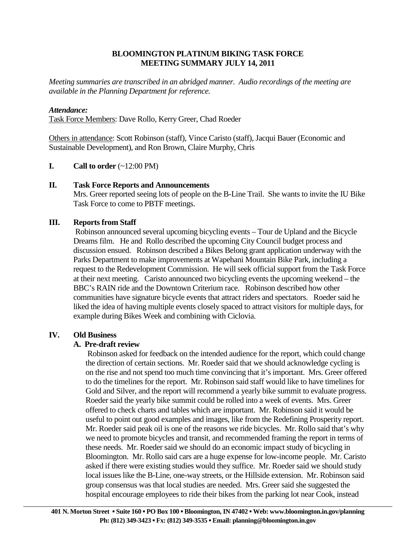## **BLOOMINGTON PLATINUM BIKING TASK FORCE MEETING SUMMARY JULY 14, 2011**

*Meeting summaries are transcribed in an abridged manner. Audio recordings of the meeting are available in the Planning Department for reference.*

## *Attendance:*

Task Force Members: Dave Rollo, Kerry Greer, Chad Roeder

Others in attendance: Scott Robinson (staff), Vince Caristo (staff), Jacqui Bauer (Economic and Sustainable Development), and Ron Brown, Claire Murphy, Chris

**I.** Call to order  $(\sim 12:00 \text{ PM})$ 

## **II. Task Force Reports and Announcements**

 Mrs. Greer reported seeing lots of people on the B-Line Trail. She wants to invite the IU Bike Task Force to come to PBTF meetings.

## **III. Reports from Staff**

 Robinson announced several upcoming bicycling events – Tour de Upland and the Bicycle Dreams film. He and Rollo described the upcoming City Council budget process and discussion ensued. Robinson described a Bikes Belong grant application underway with the Parks Department to make improvements at Wapehani Mountain Bike Park, including a request to the Redevelopment Commission. He will seek official support from the Task Force at their next meeting. Caristo announced two bicycling events the upcoming weekend – the BBC's RAIN ride and the Downtown Criterium race. Robinson described how other communities have signature bicycle events that attract riders and spectators. Roeder said he liked the idea of having multiple events closely spaced to attract visitors for multiple days, for example during Bikes Week and combining with Ciclovia.

## **IV. Old Business**

#### **A. Pre-draft review**

 Robinson asked for feedback on the intended audience for the report, which could change the direction of certain sections. Mr. Roeder said that we should acknowledge cycling is on the rise and not spend too much time convincing that it's important. Mrs. Greer offered to do the timelines for the report. Mr. Robinson said staff would like to have timelines for Gold and Silver, and the report will recommend a yearly bike summit to evaluate progress. Roeder said the yearly bike summit could be rolled into a week of events. Mrs. Greer offered to check charts and tables which are important. Mr. Robinson said it would be useful to point out good examples and images, like from the Redefining Prosperity report. Mr. Roeder said peak oil is one of the reasons we ride bicycles. Mr. Rollo said that's why we need to promote bicycles and transit, and recommended framing the report in terms of these needs. Mr. Roeder said we should do an economic impact study of bicycling in Bloomington. Mr. Rollo said cars are a huge expense for low-income people. Mr. Caristo asked if there were existing studies would they suffice. Mr. Roeder said we should study local issues like the B-Line, one-way streets, or the Hillside extension. Mr. Robinson said group consensus was that local studies are needed. Mrs. Greer said she suggested the hospital encourage employees to ride their bikes from the parking lot near Cook, instead